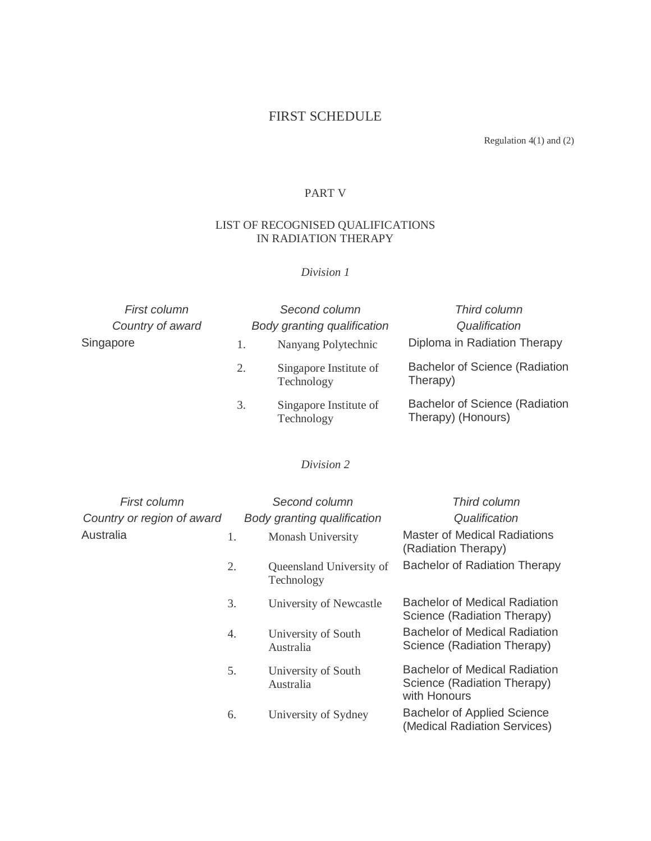# FIRST SCHEDULE

Regulation 4(1) and (2)

### PART V

#### LIST OF RECOGNISED QUALIFICATIONS IN RADIATION THERAPY

## *Division 1*

| First column     | Second column               |                                      | Third column                                         |  |
|------------------|-----------------------------|--------------------------------------|------------------------------------------------------|--|
| Country of award | Body granting qualification |                                      | Qualification                                        |  |
| Singapore        |                             | Nanyang Polytechnic                  | Diploma in Radiation Therapy                         |  |
|                  | 2.                          | Singapore Institute of<br>Technology | Bachelor of Science (Radiation<br>Therapy)           |  |
|                  | 3.                          | Singapore Institute of<br>Technology | Bachelor of Science (Radiation<br>Therapy) (Honours) |  |

## *Division 2*

| First column               |    | Second column                          | Third column                                                                        |
|----------------------------|----|----------------------------------------|-------------------------------------------------------------------------------------|
| Country or region of award |    | Body granting qualification            | Qualification                                                                       |
| Australia                  | 1. | Monash University                      | <b>Master of Medical Radiations</b><br>(Radiation Therapy)                          |
|                            | 2. | Queensland University of<br>Technology | <b>Bachelor of Radiation Therapy</b>                                                |
|                            | 3. | University of Newcastle                | Bachelor of Medical Radiation<br>Science (Radiation Therapy)                        |
|                            | 4. | University of South<br>Australia       | <b>Bachelor of Medical Radiation</b><br>Science (Radiation Therapy)                 |
|                            | 5. | University of South<br>Australia       | <b>Bachelor of Medical Radiation</b><br>Science (Radiation Therapy)<br>with Honours |
|                            | 6. | University of Sydney                   | <b>Bachelor of Applied Science</b><br>(Medical Radiation Services)                  |